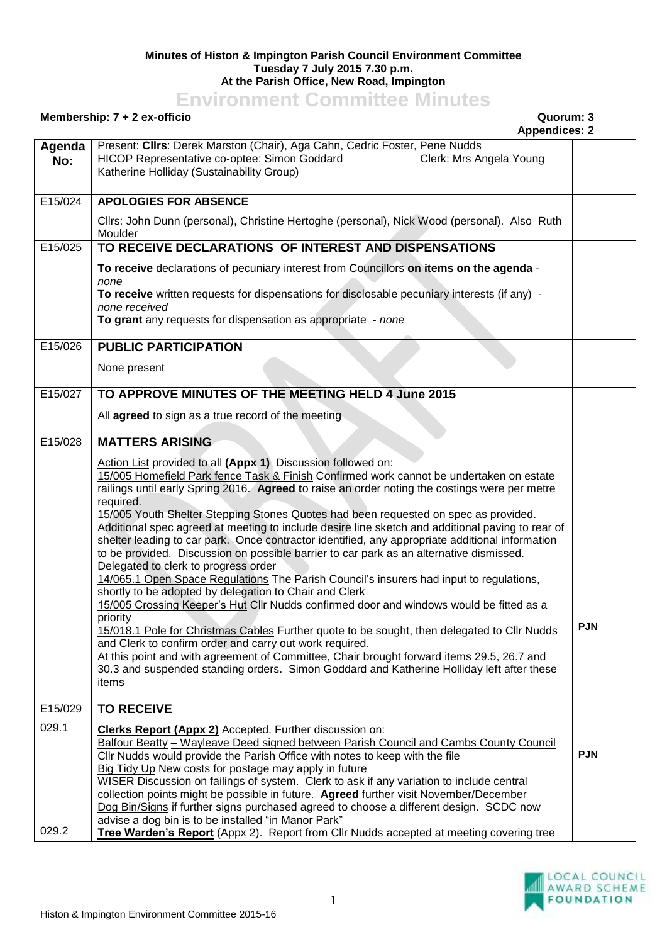## **Minutes of Histon & Impington Parish Council Environment Committee Tuesday 7 July 2015 7.30 p.m. At the Parish Office, New Road, Impington**

## **Environment Committee Minutes**

## **Membership: 7 + 2 ex-officio Quorum: 3**

## **Appendices: 2**

|               | Appendices: 2                                                                                                                                                                                                                                                                                                                                                                                                                                                                                                                                                                                                                                                                                                                                                                                                                                                                                                                                                                                                                                                                                                                                                                                                                                                                                                                   |            |
|---------------|---------------------------------------------------------------------------------------------------------------------------------------------------------------------------------------------------------------------------------------------------------------------------------------------------------------------------------------------------------------------------------------------------------------------------------------------------------------------------------------------------------------------------------------------------------------------------------------------------------------------------------------------------------------------------------------------------------------------------------------------------------------------------------------------------------------------------------------------------------------------------------------------------------------------------------------------------------------------------------------------------------------------------------------------------------------------------------------------------------------------------------------------------------------------------------------------------------------------------------------------------------------------------------------------------------------------------------|------------|
| Agenda<br>No: | Present: Clirs: Derek Marston (Chair), Aga Cahn, Cedric Foster, Pene Nudds<br>HICOP Representative co-optee: Simon Goddard<br>Clerk: Mrs Angela Young<br>Katherine Holliday (Sustainability Group)                                                                                                                                                                                                                                                                                                                                                                                                                                                                                                                                                                                                                                                                                                                                                                                                                                                                                                                                                                                                                                                                                                                              |            |
| E15/024       | <b>APOLOGIES FOR ABSENCE</b>                                                                                                                                                                                                                                                                                                                                                                                                                                                                                                                                                                                                                                                                                                                                                                                                                                                                                                                                                                                                                                                                                                                                                                                                                                                                                                    |            |
|               | Cllrs: John Dunn (personal), Christine Hertoghe (personal), Nick Wood (personal). Also Ruth<br>Moulder                                                                                                                                                                                                                                                                                                                                                                                                                                                                                                                                                                                                                                                                                                                                                                                                                                                                                                                                                                                                                                                                                                                                                                                                                          |            |
| E15/025       | TO RECEIVE DECLARATIONS OF INTEREST AND DISPENSATIONS                                                                                                                                                                                                                                                                                                                                                                                                                                                                                                                                                                                                                                                                                                                                                                                                                                                                                                                                                                                                                                                                                                                                                                                                                                                                           |            |
|               | To receive declarations of pecuniary interest from Councillors on items on the agenda -<br>none                                                                                                                                                                                                                                                                                                                                                                                                                                                                                                                                                                                                                                                                                                                                                                                                                                                                                                                                                                                                                                                                                                                                                                                                                                 |            |
|               | To receive written requests for dispensations for disclosable pecuniary interests (if any) -<br>none received                                                                                                                                                                                                                                                                                                                                                                                                                                                                                                                                                                                                                                                                                                                                                                                                                                                                                                                                                                                                                                                                                                                                                                                                                   |            |
|               | To grant any requests for dispensation as appropriate - none                                                                                                                                                                                                                                                                                                                                                                                                                                                                                                                                                                                                                                                                                                                                                                                                                                                                                                                                                                                                                                                                                                                                                                                                                                                                    |            |
| E15/026       | <b>PUBLIC PARTICIPATION</b>                                                                                                                                                                                                                                                                                                                                                                                                                                                                                                                                                                                                                                                                                                                                                                                                                                                                                                                                                                                                                                                                                                                                                                                                                                                                                                     |            |
|               | None present                                                                                                                                                                                                                                                                                                                                                                                                                                                                                                                                                                                                                                                                                                                                                                                                                                                                                                                                                                                                                                                                                                                                                                                                                                                                                                                    |            |
| E15/027       | TO APPROVE MINUTES OF THE MEETING HELD 4 June 2015                                                                                                                                                                                                                                                                                                                                                                                                                                                                                                                                                                                                                                                                                                                                                                                                                                                                                                                                                                                                                                                                                                                                                                                                                                                                              |            |
|               | All agreed to sign as a true record of the meeting                                                                                                                                                                                                                                                                                                                                                                                                                                                                                                                                                                                                                                                                                                                                                                                                                                                                                                                                                                                                                                                                                                                                                                                                                                                                              |            |
| E15/028       | <b>MATTERS ARISING</b>                                                                                                                                                                                                                                                                                                                                                                                                                                                                                                                                                                                                                                                                                                                                                                                                                                                                                                                                                                                                                                                                                                                                                                                                                                                                                                          |            |
|               | Action List provided to all (Appx 1) Discussion followed on:<br>15/005 Homefield Park fence Task & Finish Confirmed work cannot be undertaken on estate<br>railings until early Spring 2016. Agreed to raise an order noting the costings were per metre<br>required.<br>15/005 Youth Shelter Stepping Stones Quotes had been requested on spec as provided.<br>Additional spec agreed at meeting to include desire line sketch and additional paving to rear of<br>shelter leading to car park. Once contractor identified, any appropriate additional information<br>to be provided. Discussion on possible barrier to car park as an alternative dismissed.<br>Delegated to clerk to progress order<br>14/065.1 Open Space Regulations The Parish Council's insurers had input to regulations,<br>shortly to be adopted by delegation to Chair and Clerk<br>15/005 Crossing Keeper's Hut Cllr Nudds confirmed door and windows would be fitted as a<br>priority<br>15/018.1 Pole for Christmas Cables Further quote to be sought, then delegated to Cllr Nudds<br>and Clerk to confirm order and carry out work required.<br>At this point and with agreement of Committee, Chair brought forward items 29.5, 26.7 and<br>30.3 and suspended standing orders. Simon Goddard and Katherine Holliday left after these<br>items | <b>PJN</b> |
| E15/029       | <b>TO RECEIVE</b>                                                                                                                                                                                                                                                                                                                                                                                                                                                                                                                                                                                                                                                                                                                                                                                                                                                                                                                                                                                                                                                                                                                                                                                                                                                                                                               |            |
| 029.1         | <b>Clerks Report (Appx 2)</b> Accepted. Further discussion on:<br>Balfour Beatty - Wayleave Deed signed between Parish Council and Cambs County Council<br>Cllr Nudds would provide the Parish Office with notes to keep with the file<br>Big Tidy Up New costs for postage may apply in future<br>WISER Discussion on failings of system. Clerk to ask if any variation to include central<br>collection points might be possible in future. Agreed further visit November/December                                                                                                                                                                                                                                                                                                                                                                                                                                                                                                                                                                                                                                                                                                                                                                                                                                            | <b>PJN</b> |
| 029.2         | Dog Bin/Signs if further signs purchased agreed to choose a different design. SCDC now<br>advise a dog bin is to be installed "in Manor Park"<br>Tree Warden's Report (Appx 2). Report from Cllr Nudds accepted at meeting covering tree                                                                                                                                                                                                                                                                                                                                                                                                                                                                                                                                                                                                                                                                                                                                                                                                                                                                                                                                                                                                                                                                                        |            |

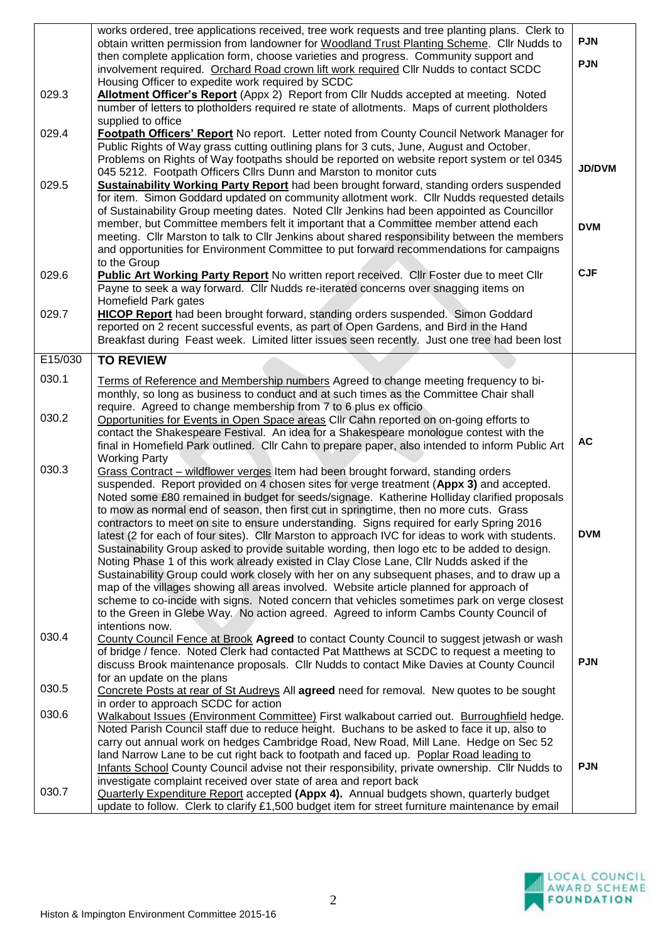|         | works ordered, tree applications received, tree work requests and tree planting plans. Clerk to<br>obtain written permission from landowner for Woodland Trust Planting Scheme. Cllr Nudds to<br>then complete application form, choose varieties and progress. Community support and  | <b>PJN</b>    |
|---------|----------------------------------------------------------------------------------------------------------------------------------------------------------------------------------------------------------------------------------------------------------------------------------------|---------------|
|         | involvement required. Orchard Road crown lift work required Cllr Nudds to contact SCDC<br>Housing Officer to expedite work required by SCDC                                                                                                                                            | <b>PJN</b>    |
| 029.3   | Allotment Officer's Report (Appx 2) Report from Cllr Nudds accepted at meeting. Noted<br>number of letters to plotholders required re state of allotments. Maps of current plotholders<br>supplied to office                                                                           |               |
| 029.4   | Footpath Officers' Report No report. Letter noted from County Council Network Manager for<br>Public Rights of Way grass cutting outlining plans for 3 cuts, June, August and October.                                                                                                  |               |
| 029.5   | Problems on Rights of Way footpaths should be reported on website report system or tel 0345<br>045 5212. Footpath Officers Cllrs Dunn and Marston to monitor cuts<br><b>Sustainability Working Party Report</b> had been brought forward, standing orders suspended                    | <b>JD/DVM</b> |
|         | for item. Simon Goddard updated on community allotment work. Cllr Nudds requested details<br>of Sustainability Group meeting dates. Noted Cllr Jenkins had been appointed as Councillor                                                                                                |               |
|         | member, but Committee members felt it important that a Committee member attend each<br>meeting. Cllr Marston to talk to Cllr Jenkins about shared responsibility between the members<br>and opportunities for Environment Committee to put forward recommendations for campaigns       | <b>DVM</b>    |
| 029.6   | to the Group<br>Public Art Working Party Report No written report received. Cllr Foster due to meet Cllr<br>Payne to seek a way forward. Cllr Nudds re-iterated concerns over snagging items on                                                                                        | <b>CJF</b>    |
| 029.7   | Homefield Park gates<br>HICOP Report had been brought forward, standing orders suspended. Simon Goddard<br>reported on 2 recent successful events, as part of Open Gardens, and Bird in the Hand                                                                                       |               |
| E15/030 | Breakfast during Feast week. Limited litter issues seen recently. Just one tree had been lost                                                                                                                                                                                          |               |
|         | <b>TO REVIEW</b>                                                                                                                                                                                                                                                                       |               |
| 030.1   | Terms of Reference and Membership numbers Agreed to change meeting frequency to bi-<br>monthly, so long as business to conduct and at such times as the Committee Chair shall<br>require. Agreed to change membership from 7 to 6 plus ex officio                                      |               |
| 030.2   | Opportunities for Events in Open Space areas Cllr Cahn reported on on-going efforts to<br>contact the Shakespeare Festival. An idea for a Shakespeare monologue contest with the<br>final in Homefield Park outlined. Cllr Cahn to prepare paper, also intended to inform Public Art   | <b>AC</b>     |
| 030.3   | <b>Working Party</b><br>Grass Contract - wildflower verges Item had been brought forward, standing orders                                                                                                                                                                              |               |
|         | suspended. Report provided on 4 chosen sites for verge treatment (Appx 3) and accepted.<br>Noted some £80 remained in budget for seeds/signage. Katherine Holliday clarified proposals<br>to mow as normal end of season, then first cut in springtime, then no more cuts. Grass       |               |
|         | contractors to meet on site to ensure understanding. Signs required for early Spring 2016<br>latest (2 for each of four sites). Cllr Marston to approach IVC for ideas to work with students.                                                                                          | <b>DVM</b>    |
|         | Sustainability Group asked to provide suitable wording, then logo etc to be added to design.<br>Noting Phase 1 of this work already existed in Clay Close Lane, Cllr Nudds asked if the<br>Sustainability Group could work closely with her on any subsequent phases, and to draw up a |               |
|         | map of the villages showing all areas involved. Website article planned for approach of<br>scheme to co-incide with signs. Noted concern that vehicles sometimes park on verge closest                                                                                                 |               |
| 030.4   | to the Green in Glebe Way. No action agreed. Agreed to inform Cambs County Council of<br>intentions now.                                                                                                                                                                               |               |
|         | County Council Fence at Brook Agreed to contact County Council to suggest jetwash or wash<br>of bridge / fence. Noted Clerk had contacted Pat Matthews at SCDC to request a meeting to<br>discuss Brook maintenance proposals. Cllr Nudds to contact Mike Davies at County Council     | <b>PJN</b>    |
| 030.5   | for an update on the plans<br>Concrete Posts at rear of St Audreys All agreed need for removal. New quotes to be sought                                                                                                                                                                |               |
| 030.6   | in order to approach SCDC for action<br>Walkabout Issues (Environment Committee) First walkabout carried out. Burroughfield hedge.<br>Noted Parish Council staff due to reduce height. Buchans to be asked to face it up, also to                                                      |               |
|         | carry out annual work on hedges Cambridge Road, New Road, Mill Lane. Hedge on Sec 52<br>land Narrow Lane to be cut right back to footpath and faced up. Poplar Road leading to                                                                                                         |               |
|         | Infants School County Council advise not their responsibility, private ownership. Cllr Nudds to<br>investigate complaint received over state of area and report back                                                                                                                   | <b>PJN</b>    |
| 030.7   | <b>Quarterly Expenditure Report accepted (Appx 4).</b> Annual budgets shown, quarterly budget<br>update to follow. Clerk to clarify £1,500 budget item for street furniture maintenance by email                                                                                       |               |